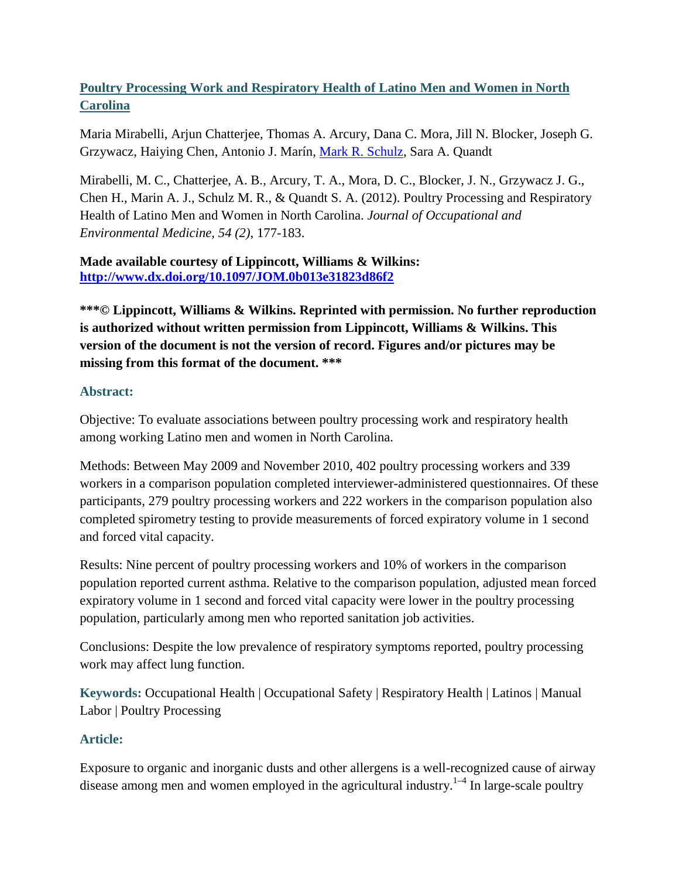# **Poultry Processing Work and Respiratory Health of Latino Men and Women in North Carolina**

Maria Mirabelli, Arjun Chatterjee, Thomas A. Arcury, Dana C. Mora, Jill N. Blocker, Joseph G. Grzywacz, Haiying Chen, Antonio J. Marín, [Mark R.](http://libres.uncg.edu/ir/uncg/clist.aspx?id=1579) Schulz, Sara A. Quandt

Mirabelli, M. C., Chatterjee, A. B., Arcury, T. A., Mora, D. C., Blocker, J. N., Grzywacz J. G., Chen H., Marin A. J., Schulz M. R., & Quandt S. A. (2012). Poultry Processing and Respiratory Health of Latino Men and Women in North Carolina. *Journal of Occupational and Environmental Medicine, 54 (2)*, 177-183.

## **Made available courtesy of Lippincott, Williams & Wilkins: <http://www.dx.doi.org/10.1097/JOM.0b013e31823d86f2>**

**\*\*\*© Lippincott, Williams & Wilkins. Reprinted with permission. No further reproduction is authorized without written permission from Lippincott, Williams & Wilkins. This version of the document is not the version of record. Figures and/or pictures may be missing from this format of the document. \*\*\***

## **Abstract:**

Objective: To evaluate associations between poultry processing work and respiratory health among working Latino men and women in North Carolina.

Methods: Between May 2009 and November 2010, 402 poultry processing workers and 339 workers in a comparison population completed interviewer-administered questionnaires. Of these participants, 279 poultry processing workers and 222 workers in the comparison population also completed spirometry testing to provide measurements of forced expiratory volume in 1 second and forced vital capacity.

Results: Nine percent of poultry processing workers and 10% of workers in the comparison population reported current asthma. Relative to the comparison population, adjusted mean forced expiratory volume in 1 second and forced vital capacity were lower in the poultry processing population, particularly among men who reported sanitation job activities.

Conclusions: Despite the low prevalence of respiratory symptoms reported, poultry processing work may affect lung function.

**Keywords:** Occupational Health | Occupational Safety | Respiratory Health | Latinos | Manual Labor | Poultry Processing

## **Article:**

Exposure to organic and inorganic dusts and other allergens is a well-recognized cause of airway disease among men and women employed in the agricultural industry.<sup>1–4</sup> In large-scale poultry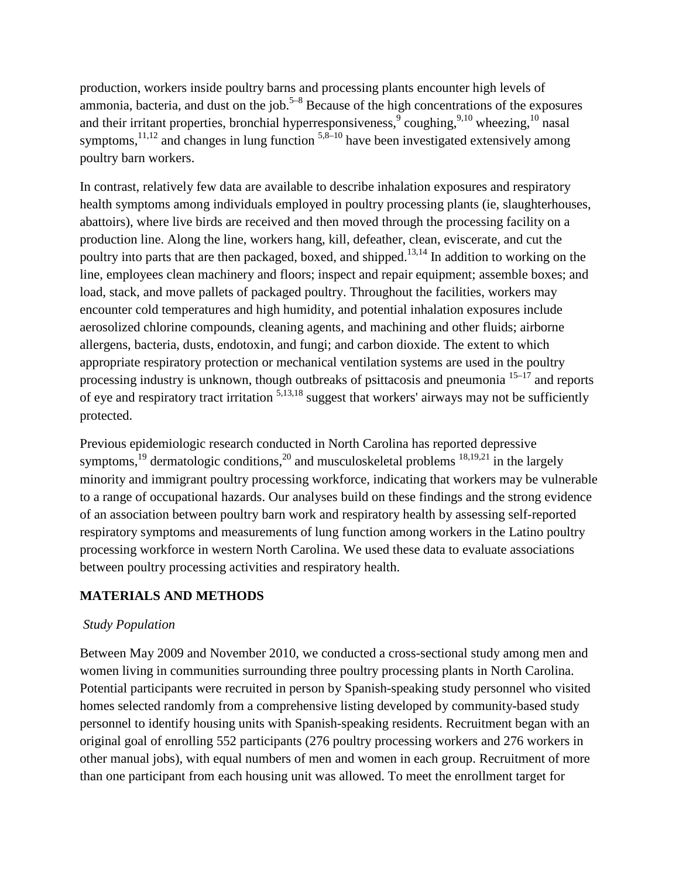production, workers inside poultry barns and processing plants encounter high levels of ammonia, bacteria, and dust on the job.<sup>5–8</sup> Because of the high concentrations of the exposures and their irritant properties, bronchial hyperresponsiveness,  $\degree$  coughing,  $\degree$ <sup>9,10</sup> wheezing,  $\degree$ <sup>10</sup> nasal symptoms,<sup>11,12</sup> and changes in lung function  $5,8-10$  have been investigated extensively among poultry barn workers.

In contrast, relatively few data are available to describe inhalation exposures and respiratory health symptoms among individuals employed in poultry processing plants (ie, slaughterhouses, abattoirs), where live birds are received and then moved through the processing facility on a production line. Along the line, workers hang, kill, defeather, clean, eviscerate, and cut the poultry into parts that are then packaged, boxed, and shipped.<sup>13,14</sup> In addition to working on the line, employees clean machinery and floors; inspect and repair equipment; assemble boxes; and load, stack, and move pallets of packaged poultry. Throughout the facilities, workers may encounter cold temperatures and high humidity, and potential inhalation exposures include aerosolized chlorine compounds, cleaning agents, and machining and other fluids; airborne allergens, bacteria, dusts, endotoxin, and fungi; and carbon dioxide. The extent to which appropriate respiratory protection or mechanical ventilation systems are used in the poultry processing industry is unknown, though outbreaks of psittacosis and pneumonia  $15-17$  and reports of eye and respiratory tract irritation  $5,13,18$  suggest that workers' airways may not be sufficiently protected.

Previous epidemiologic research conducted in North Carolina has reported depressive symptoms,<sup>19</sup> dermatologic conditions,<sup>20</sup> and musculoskeletal problems  $^{18,19,21}$  in the largely minority and immigrant poultry processing workforce, indicating that workers may be vulnerable to a range of occupational hazards. Our analyses build on these findings and the strong evidence of an association between poultry barn work and respiratory health by assessing self-reported respiratory symptoms and measurements of lung function among workers in the Latino poultry processing workforce in western North Carolina. We used these data to evaluate associations between poultry processing activities and respiratory health.

## **MATERIALS AND METHODS**

## *Study Population*

Between May 2009 and November 2010, we conducted a cross-sectional study among men and women living in communities surrounding three poultry processing plants in North Carolina. Potential participants were recruited in person by Spanish-speaking study personnel who visited homes selected randomly from a comprehensive listing developed by community-based study personnel to identify housing units with Spanish-speaking residents. Recruitment began with an original goal of enrolling 552 participants (276 poultry processing workers and 276 workers in other manual jobs), with equal numbers of men and women in each group. Recruitment of more than one participant from each housing unit was allowed. To meet the enrollment target for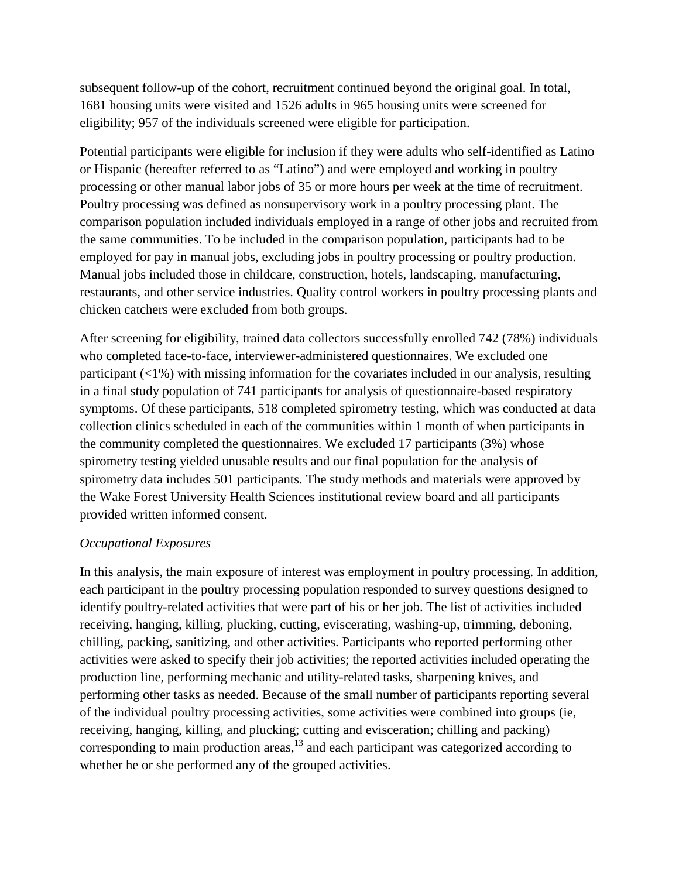subsequent follow-up of the cohort, recruitment continued beyond the original goal. In total, 1681 housing units were visited and 1526 adults in 965 housing units were screened for eligibility; 957 of the individuals screened were eligible for participation.

Potential participants were eligible for inclusion if they were adults who self-identified as Latino or Hispanic (hereafter referred to as "Latino") and were employed and working in poultry processing or other manual labor jobs of 35 or more hours per week at the time of recruitment. Poultry processing was defined as nonsupervisory work in a poultry processing plant. The comparison population included individuals employed in a range of other jobs and recruited from the same communities. To be included in the comparison population, participants had to be employed for pay in manual jobs, excluding jobs in poultry processing or poultry production. Manual jobs included those in childcare, construction, hotels, landscaping, manufacturing, restaurants, and other service industries. Quality control workers in poultry processing plants and chicken catchers were excluded from both groups.

After screening for eligibility, trained data collectors successfully enrolled 742 (78%) individuals who completed face-to-face, interviewer-administered questionnaires. We excluded one participant (<1%) with missing information for the covariates included in our analysis, resulting in a final study population of 741 participants for analysis of questionnaire-based respiratory symptoms. Of these participants, 518 completed spirometry testing, which was conducted at data collection clinics scheduled in each of the communities within 1 month of when participants in the community completed the questionnaires. We excluded 17 participants (3%) whose spirometry testing yielded unusable results and our final population for the analysis of spirometry data includes 501 participants. The study methods and materials were approved by the Wake Forest University Health Sciences institutional review board and all participants provided written informed consent.

## *Occupational Exposures*

In this analysis, the main exposure of interest was employment in poultry processing. In addition, each participant in the poultry processing population responded to survey questions designed to identify poultry-related activities that were part of his or her job. The list of activities included receiving, hanging, killing, plucking, cutting, eviscerating, washing-up, trimming, deboning, chilling, packing, sanitizing, and other activities. Participants who reported performing other activities were asked to specify their job activities; the reported activities included operating the production line, performing mechanic and utility-related tasks, sharpening knives, and performing other tasks as needed. Because of the small number of participants reporting several of the individual poultry processing activities, some activities were combined into groups (ie, receiving, hanging, killing, and plucking; cutting and evisceration; chilling and packing) corresponding to main production areas, $13$  and each participant was categorized according to whether he or she performed any of the grouped activities.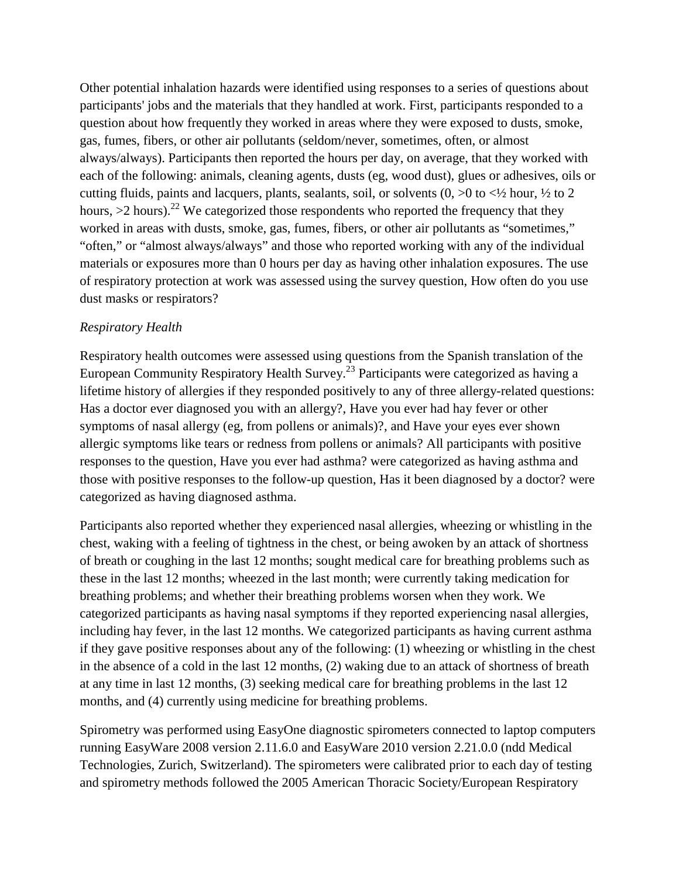Other potential inhalation hazards were identified using responses to a series of questions about participants' jobs and the materials that they handled at work. First, participants responded to a question about how frequently they worked in areas where they were exposed to dusts, smoke, gas, fumes, fibers, or other air pollutants (seldom/never, sometimes, often, or almost always/always). Participants then reported the hours per day, on average, that they worked with each of the following: animals, cleaning agents, dusts (eg, wood dust), glues or adhesives, oils or cutting fluids, paints and lacquers, plants, sealants, soil, or solvents  $(0, >0$  to  $\lt\frac{1}{2}$  hour,  $\frac{1}{2}$  to 2 hours,  $>2$  hours).<sup>22</sup> We categorized those respondents who reported the frequency that they worked in areas with dusts, smoke, gas, fumes, fibers, or other air pollutants as "sometimes," "often," or "almost always/always" and those who reported working with any of the individual materials or exposures more than 0 hours per day as having other inhalation exposures. The use of respiratory protection at work was assessed using the survey question, How often do you use dust masks or respirators?

#### *Respiratory Health*

Respiratory health outcomes were assessed using questions from the Spanish translation of the European Community Respiratory Health Survey.<sup>23</sup> Participants were categorized as having a lifetime history of allergies if they responded positively to any of three allergy-related questions: Has a doctor ever diagnosed you with an allergy?, Have you ever had hay fever or other symptoms of nasal allergy (eg, from pollens or animals)?, and Have your eyes ever shown allergic symptoms like tears or redness from pollens or animals? All participants with positive responses to the question, Have you ever had asthma? were categorized as having asthma and those with positive responses to the follow-up question, Has it been diagnosed by a doctor? were categorized as having diagnosed asthma.

Participants also reported whether they experienced nasal allergies, wheezing or whistling in the chest, waking with a feeling of tightness in the chest, or being awoken by an attack of shortness of breath or coughing in the last 12 months; sought medical care for breathing problems such as these in the last 12 months; wheezed in the last month; were currently taking medication for breathing problems; and whether their breathing problems worsen when they work. We categorized participants as having nasal symptoms if they reported experiencing nasal allergies, including hay fever, in the last 12 months. We categorized participants as having current asthma if they gave positive responses about any of the following: (1) wheezing or whistling in the chest in the absence of a cold in the last 12 months, (2) waking due to an attack of shortness of breath at any time in last 12 months, (3) seeking medical care for breathing problems in the last 12 months, and (4) currently using medicine for breathing problems.

Spirometry was performed using EasyOne diagnostic spirometers connected to laptop computers running EasyWare 2008 version 2.11.6.0 and EasyWare 2010 version 2.21.0.0 (ndd Medical Technologies, Zurich, Switzerland). The spirometers were calibrated prior to each day of testing and spirometry methods followed the 2005 American Thoracic Society/European Respiratory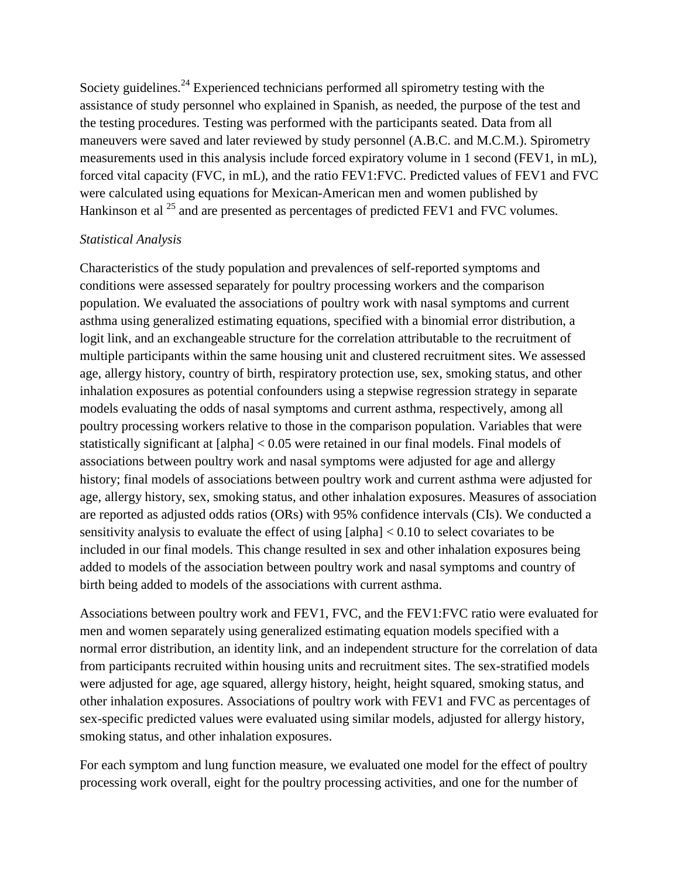Society guidelines.<sup>24</sup> Experienced technicians performed all spirometry testing with the assistance of study personnel who explained in Spanish, as needed, the purpose of the test and the testing procedures. Testing was performed with the participants seated. Data from all maneuvers were saved and later reviewed by study personnel (A.B.C. and M.C.M.). Spirometry measurements used in this analysis include forced expiratory volume in 1 second (FEV1, in mL), forced vital capacity (FVC, in mL), and the ratio FEV1:FVC. Predicted values of FEV1 and FVC were calculated using equations for Mexican-American men and women published by Hankinson et al <sup>25</sup> and are presented as percentages of predicted FEV1 and FVC volumes.

## *Statistical Analysis*

Characteristics of the study population and prevalences of self-reported symptoms and conditions were assessed separately for poultry processing workers and the comparison population. We evaluated the associations of poultry work with nasal symptoms and current asthma using generalized estimating equations, specified with a binomial error distribution, a logit link, and an exchangeable structure for the correlation attributable to the recruitment of multiple participants within the same housing unit and clustered recruitment sites. We assessed age, allergy history, country of birth, respiratory protection use, sex, smoking status, and other inhalation exposures as potential confounders using a stepwise regression strategy in separate models evaluating the odds of nasal symptoms and current asthma, respectively, among all poultry processing workers relative to those in the comparison population. Variables that were statistically significant at [alpha] < 0.05 were retained in our final models. Final models of associations between poultry work and nasal symptoms were adjusted for age and allergy history; final models of associations between poultry work and current asthma were adjusted for age, allergy history, sex, smoking status, and other inhalation exposures. Measures of association are reported as adjusted odds ratios (ORs) with 95% confidence intervals (CIs). We conducted a sensitivity analysis to evaluate the effect of using [alpha] < 0.10 to select covariates to be included in our final models. This change resulted in sex and other inhalation exposures being added to models of the association between poultry work and nasal symptoms and country of birth being added to models of the associations with current asthma.

Associations between poultry work and FEV1, FVC, and the FEV1:FVC ratio were evaluated for men and women separately using generalized estimating equation models specified with a normal error distribution, an identity link, and an independent structure for the correlation of data from participants recruited within housing units and recruitment sites. The sex-stratified models were adjusted for age, age squared, allergy history, height, height squared, smoking status, and other inhalation exposures. Associations of poultry work with FEV1 and FVC as percentages of sex-specific predicted values were evaluated using similar models, adjusted for allergy history, smoking status, and other inhalation exposures.

For each symptom and lung function measure, we evaluated one model for the effect of poultry processing work overall, eight for the poultry processing activities, and one for the number of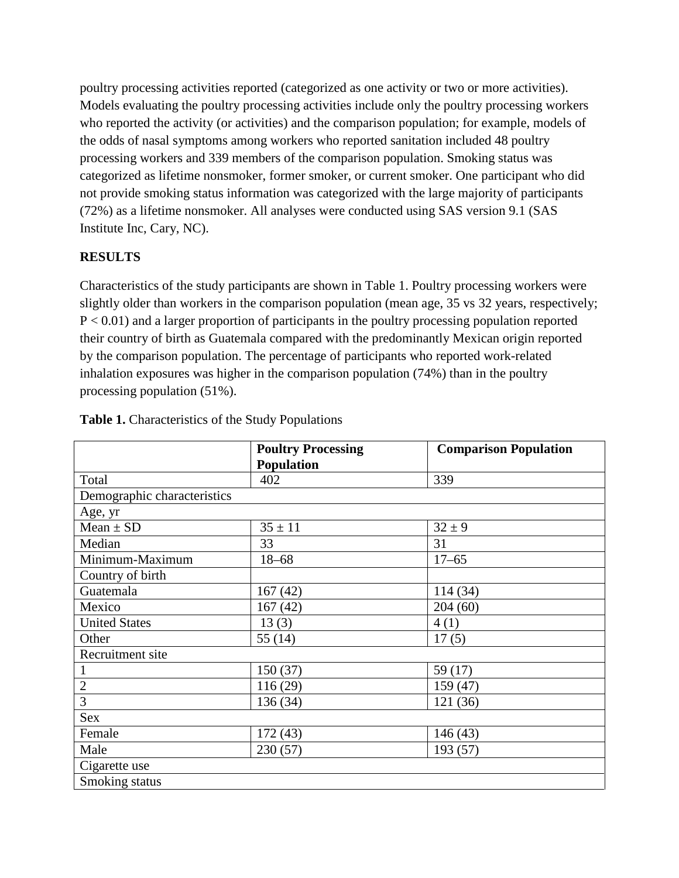poultry processing activities reported (categorized as one activity or two or more activities). Models evaluating the poultry processing activities include only the poultry processing workers who reported the activity (or activities) and the comparison population; for example, models of the odds of nasal symptoms among workers who reported sanitation included 48 poultry processing workers and 339 members of the comparison population. Smoking status was categorized as lifetime nonsmoker, former smoker, or current smoker. One participant who did not provide smoking status information was categorized with the large majority of participants (72%) as a lifetime nonsmoker. All analyses were conducted using SAS version 9.1 (SAS Institute Inc, Cary, NC).

# **RESULTS**

Characteristics of the study participants are shown in Table 1. Poultry processing workers were slightly older than workers in the comparison population (mean age, 35 vs 32 years, respectively; P < 0.01) and a larger proportion of participants in the poultry processing population reported their country of birth as Guatemala compared with the predominantly Mexican origin reported by the comparison population. The percentage of participants who reported work-related inhalation exposures was higher in the comparison population (74%) than in the poultry processing population (51%).

|                             | <b>Poultry Processing</b> | <b>Comparison Population</b> |  |  |  |
|-----------------------------|---------------------------|------------------------------|--|--|--|
|                             | <b>Population</b>         |                              |  |  |  |
| Total                       | 402                       | 339                          |  |  |  |
| Demographic characteristics |                           |                              |  |  |  |
| Age, yr                     |                           |                              |  |  |  |
| $Mean \pm SD$               | $35 \pm 11$               | $32 \pm 9$                   |  |  |  |
| Median                      | 33                        | 31                           |  |  |  |
| Minimum-Maximum             | $18 - 68$                 | $17 - 65$                    |  |  |  |
| Country of birth            |                           |                              |  |  |  |
| Guatemala                   | 167(42)                   | 114 (34)                     |  |  |  |
| Mexico                      | 167(42)                   | 204(60)                      |  |  |  |
| <b>United States</b>        | 13(3)                     | 4(1)                         |  |  |  |
| Other                       | 55 (14)                   | 17(5)                        |  |  |  |
| Recruitment site            |                           |                              |  |  |  |
|                             | 150(37)                   | 59 (17)                      |  |  |  |
| $\overline{2}$              | 116(29)                   | 159(47)                      |  |  |  |
| 3                           | 136 (34)                  | 121 (36)                     |  |  |  |
| <b>Sex</b>                  |                           |                              |  |  |  |
| Female                      | 172(43)                   | 146(43)                      |  |  |  |
| Male                        | 230(57)                   | 193 (57)                     |  |  |  |
| Cigarette use               |                           |                              |  |  |  |
| Smoking status              |                           |                              |  |  |  |

## **Table 1.** Characteristics of the Study Populations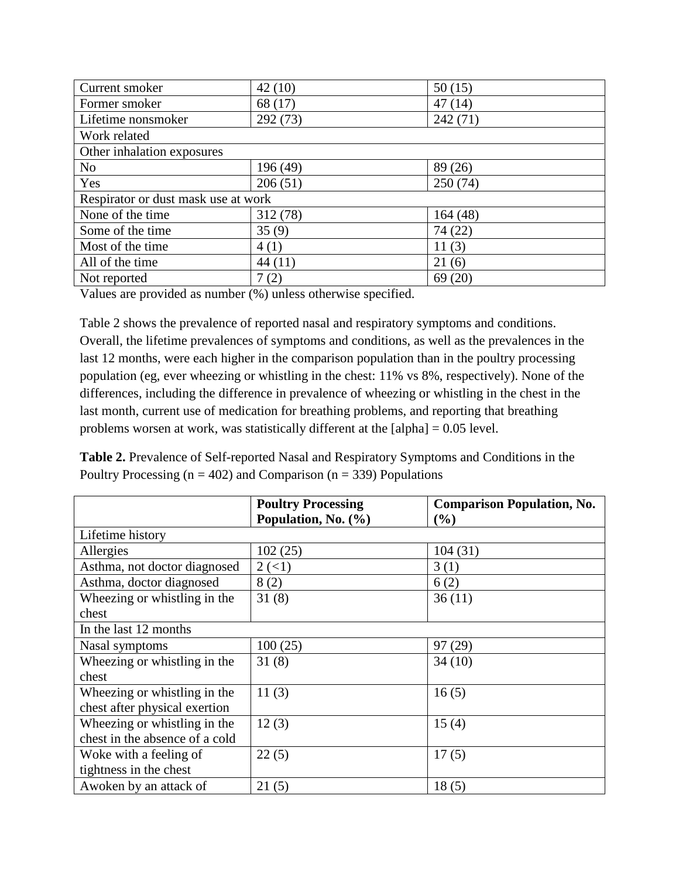| Current smoker                      | 42(10)   | 50(15)  |  |  |  |
|-------------------------------------|----------|---------|--|--|--|
| Former smoker                       | 68 (17)  | 47(14)  |  |  |  |
| Lifetime nonsmoker                  | 292 (73) | 242(71) |  |  |  |
| Work related                        |          |         |  |  |  |
| Other inhalation exposures          |          |         |  |  |  |
| N <sub>o</sub>                      | 196 (49) | 89 (26) |  |  |  |
| Yes                                 | 206(51)  | 250(74) |  |  |  |
| Respirator or dust mask use at work |          |         |  |  |  |
| None of the time                    | 312(78)  | 164(48) |  |  |  |
| Some of the time                    | 35(9)    | 74 (22) |  |  |  |
| Most of the time                    | 4(1)     | 11(3)   |  |  |  |
| All of the time                     | 44(11)   | 21(6)   |  |  |  |
| Not reported                        | 7(2)     | 69(20)  |  |  |  |

Values are provided as number (%) unless otherwise specified.

Table 2 shows the prevalence of reported nasal and respiratory symptoms and conditions. Overall, the lifetime prevalences of symptoms and conditions, as well as the prevalences in the last 12 months, were each higher in the comparison population than in the poultry processing population (eg, ever wheezing or whistling in the chest: 11% vs 8%, respectively). None of the differences, including the difference in prevalence of wheezing or whistling in the chest in the last month, current use of medication for breathing problems, and reporting that breathing problems worsen at work, was statistically different at the  $[a]$ <sub>pha</sub> $] = 0.05$  level.

**Table 2.** Prevalence of Self-reported Nasal and Respiratory Symptoms and Conditions in the Poultry Processing ( $n = 402$ ) and Comparison ( $n = 339$ ) Populations

|                                | <b>Poultry Processing</b> | <b>Comparison Population, No.</b> |  |  |
|--------------------------------|---------------------------|-----------------------------------|--|--|
|                                | Population, No. (%)       | (%)                               |  |  |
| Lifetime history               |                           |                                   |  |  |
| Allergies                      | 102(25)                   | 104(31)                           |  |  |
| Asthma, not doctor diagnosed   | $2 \left( \leq 1 \right)$ | 3(1)                              |  |  |
| Asthma, doctor diagnosed       | 8(2)                      | 6(2)                              |  |  |
| Wheezing or whistling in the   | 31(8)                     | 36(11)                            |  |  |
| chest                          |                           |                                   |  |  |
| In the last 12 months          |                           |                                   |  |  |
| Nasal symptoms                 | 100(25)                   | 97 (29)                           |  |  |
| Wheezing or whistling in the   | 31(8)                     | 34(10)                            |  |  |
| chest                          |                           |                                   |  |  |
| Wheezing or whistling in the   | 11(3)                     | 16(5)                             |  |  |
| chest after physical exertion  |                           |                                   |  |  |
| Wheezing or whistling in the   | 12(3)                     | 15(4)                             |  |  |
| chest in the absence of a cold |                           |                                   |  |  |
| Woke with a feeling of         | 22(5)                     | 17(5)                             |  |  |
| tightness in the chest         |                           |                                   |  |  |
| Awoken by an attack of         | 21(5)                     | 18(5)                             |  |  |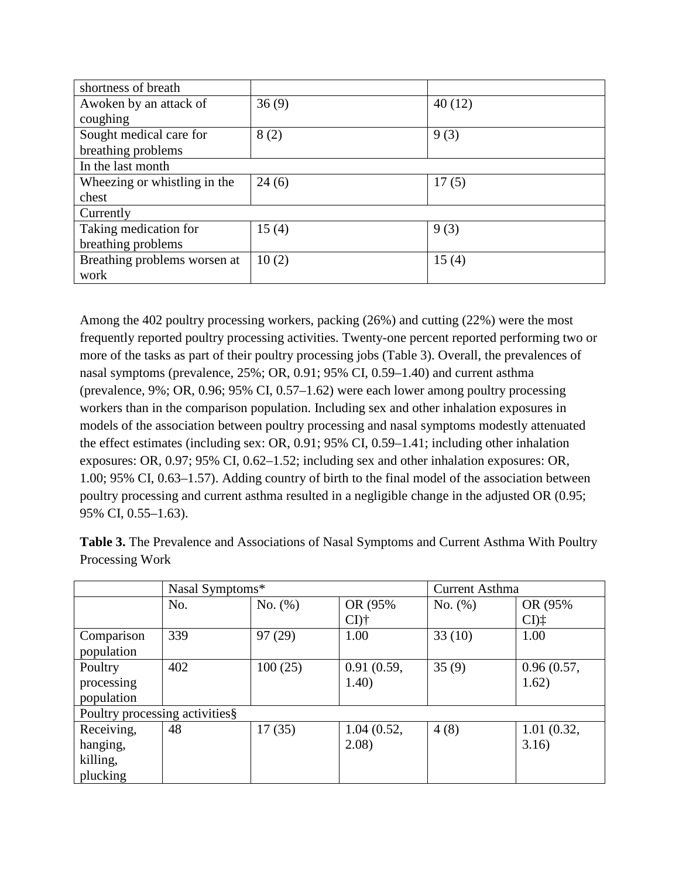| shortness of breath          |       |        |  |  |
|------------------------------|-------|--------|--|--|
| Awoken by an attack of       | 36(9) | 40(12) |  |  |
| coughing                     |       |        |  |  |
| Sought medical care for      | 8(2)  | 9(3)   |  |  |
| breathing problems           |       |        |  |  |
| In the last month            |       |        |  |  |
| Wheezing or whistling in the | 24(6) | 17(5)  |  |  |
| chest                        |       |        |  |  |
| Currently                    |       |        |  |  |
| Taking medication for        | 15(4) | 9(3)   |  |  |
| breathing problems           |       |        |  |  |
| Breathing problems worsen at | 10(2) | 15(4)  |  |  |
| work                         |       |        |  |  |

Among the 402 poultry processing workers, packing (26%) and cutting (22%) were the most frequently reported poultry processing activities. Twenty-one percent reported performing two or more of the tasks as part of their poultry processing jobs (Table 3). Overall, the prevalences of nasal symptoms (prevalence, 25%; OR, 0.91; 95% CI, 0.59–1.40) and current asthma (prevalence, 9%; OR, 0.96; 95% CI, 0.57–1.62) were each lower among poultry processing workers than in the comparison population. Including sex and other inhalation exposures in models of the association between poultry processing and nasal symptoms modestly attenuated the effect estimates (including sex: OR, 0.91; 95% CI, 0.59–1.41; including other inhalation exposures: OR, 0.97; 95% CI, 0.62–1.52; including sex and other inhalation exposures: OR, 1.00; 95% CI, 0.63–1.57). Adding country of birth to the final model of the association between poultry processing and current asthma resulted in a negligible change in the adjusted OR (0.95; 95% CI, 0.55–1.63).

Table 3. The Prevalence and Associations of Nasal Symptoms and Current Asthma With Poultry Processing Work

|                                | Nasal Symptoms* |         |            | <b>Current Asthma</b> |                   |
|--------------------------------|-----------------|---------|------------|-----------------------|-------------------|
|                                | No.             | No. (%) | OR (95%)   | No. (%)               | OR (95%)          |
|                                |                 |         | $CI$ )†    |                       | $CI$ ) $\ddagger$ |
| Comparison                     | 339             | 97(29)  | 1.00       | 33(10)                | 1.00              |
| population                     |                 |         |            |                       |                   |
| Poultry                        | 402             | 100(25) | 0.91(0.59, | 35(9)                 | 0.96(0.57,        |
| processing                     |                 |         | 1.40)      |                       | 1.62)             |
| population                     |                 |         |            |                       |                   |
| Poultry processing activities§ |                 |         |            |                       |                   |
| Receiving,                     | 48              | 17(35)  | 1.04(0.52, | 4(8)                  | 1.01(0.32,        |
| hanging,                       |                 |         | 2.08)      |                       | 3.16)             |
| killing,                       |                 |         |            |                       |                   |
| plucking                       |                 |         |            |                       |                   |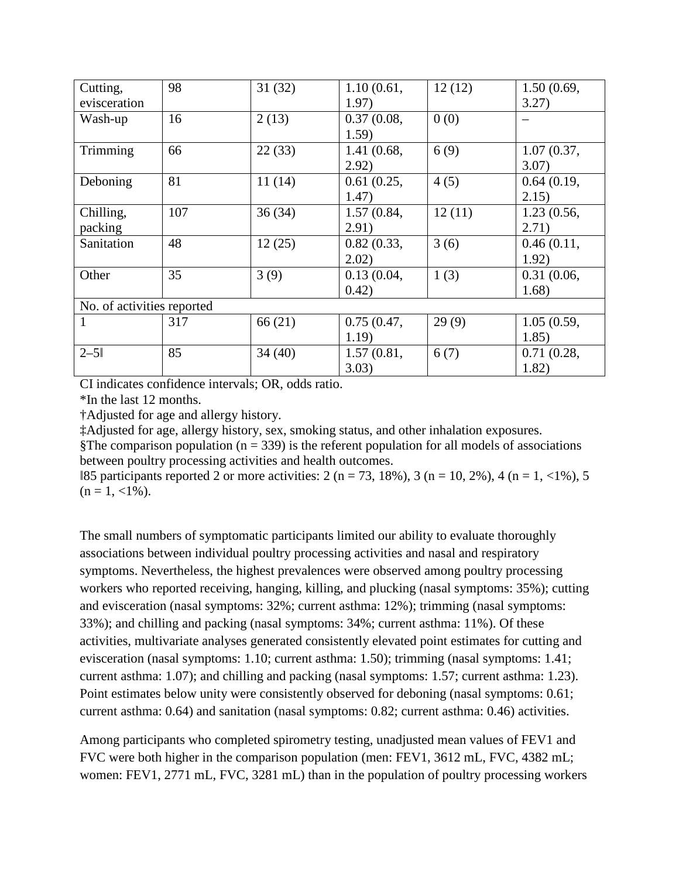| Cutting,                   | 98  | 31(32) | 1.10(0.61, | 12(12) | 1.50(0.69, |
|----------------------------|-----|--------|------------|--------|------------|
| evisceration               |     |        | 1.97)      |        | 3.27)      |
| Wash-up                    | 16  | 2(13)  | 0.37(0.08, | 0(0)   |            |
|                            |     |        | 1.59)      |        |            |
| Trimming                   | 66  | 22(33) | 1.41(0.68, | 6(9)   | 1.07(0.37, |
|                            |     |        | 2.92)      |        | 3.07)      |
| Deboning                   | 81  | 11(14) | 0.61(0.25, | 4(5)   | 0.64(0.19, |
|                            |     |        | 1.47)      |        | 2.15)      |
| Chilling,                  | 107 | 36(34) | 1.57(0.84, | 12(11) | 1.23(0.56, |
| packing                    |     |        | 2.91)      |        | 2.71)      |
| Sanitation                 | 48  | 12(25) | 0.82(0.33, | 3(6)   | 0.46(0.11, |
|                            |     |        | 2.02)      |        | 1.92)      |
| Other                      | 35  | 3(9)   | 0.13(0.04, | 1(3)   | 0.31(0.06, |
|                            |     |        | 0.42)      |        | 1.68)      |
| No. of activities reported |     |        |            |        |            |
|                            | 317 | 66(21) | 0.75(0.47, | 29(9)  | 1.05(0.59, |
|                            |     |        | 1.19)      |        | 1.85)      |
| $2 - 5$                    | 85  | 34(40) | 1.57(0.81, | 6(7)   | 0.71(0.28, |
|                            |     |        | 3.03)      |        | 1.82)      |

CI indicates confidence intervals; OR, odds ratio.

\*In the last 12 months.

†Adjusted for age and allergy history.

‡Adjusted for age, allergy history, sex, smoking status, and other inhalation exposures.  $$The comparison population (n = 339) is the referent population for all models of associations$ between poultry processing activities and health outcomes.

 $\parallel$ 85 participants reported 2 or more activities: 2 (n = 73, 18%), 3 (n = 10, 2%), 4 (n = 1, <1%), 5  $(n = 1, \langle 1\% \rangle)$ .

The small numbers of symptomatic participants limited our ability to evaluate thoroughly associations between individual poultry processing activities and nasal and respiratory symptoms. Nevertheless, the highest prevalences were observed among poultry processing workers who reported receiving, hanging, killing, and plucking (nasal symptoms: 35%); cutting and evisceration (nasal symptoms: 32%; current asthma: 12%); trimming (nasal symptoms: 33%); and chilling and packing (nasal symptoms: 34%; current asthma: 11%). Of these activities, multivariate analyses generated consistently elevated point estimates for cutting and evisceration (nasal symptoms: 1.10; current asthma: 1.50); trimming (nasal symptoms: 1.41; current asthma: 1.07); and chilling and packing (nasal symptoms: 1.57; current asthma: 1.23). Point estimates below unity were consistently observed for deboning (nasal symptoms: 0.61; current asthma: 0.64) and sanitation (nasal symptoms: 0.82; current asthma: 0.46) activities.

Among participants who completed spirometry testing, unadjusted mean values of FEV1 and FVC were both higher in the comparison population (men: FEV1, 3612 mL, FVC, 4382 mL; women: FEV1, 2771 mL, FVC, 3281 mL) than in the population of poultry processing workers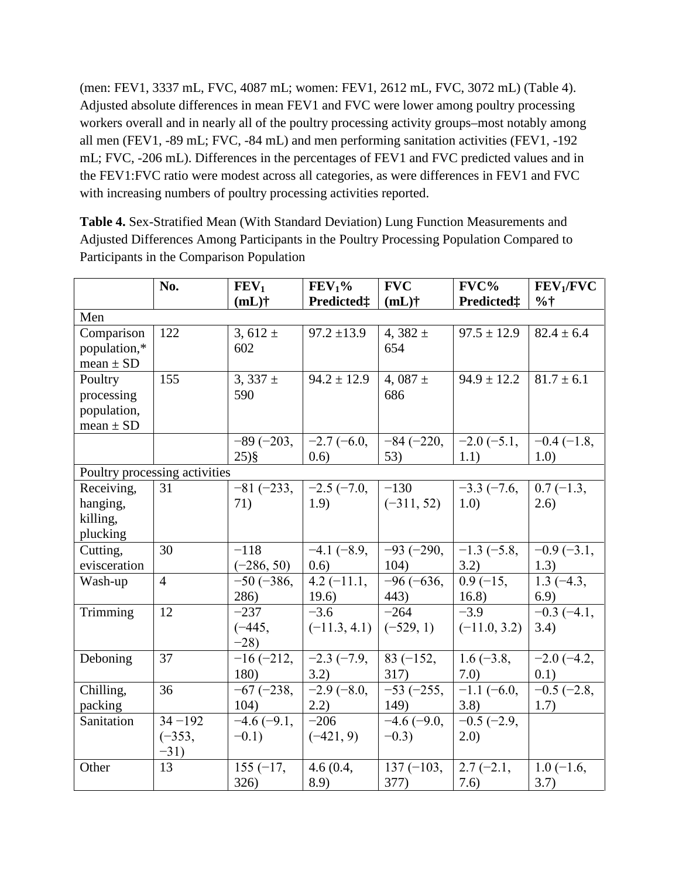(men: FEV1, 3337 mL, FVC, 4087 mL; women: FEV1, 2612 mL, FVC, 3072 mL) (Table 4). Adjusted absolute differences in mean FEV1 and FVC were lower among poultry processing workers overall and in nearly all of the poultry processing activity groups–most notably among all men (FEV1, -89 mL; FVC, -84 mL) and men performing sanitation activities (FEV1, -192 mL; FVC, -206 mL). Differences in the percentages of FEV1 and FVC predicted values and in the FEV1:FVC ratio were modest across all categories, as were differences in FEV1 and FVC with increasing numbers of poultry processing activities reported.

**Table 4.** Sex-Stratified Mean (With Standard Deviation) Lung Function Measurements and Adjusted Differences Among Participants in the Poultry Processing Population Compared to Participants in the Comparison Population

|               | No.                           | FEV <sub>1</sub> | FEV <sub>1</sub> %      | <b>FVC</b>   | FVC%                     | FEV <sub>1</sub> /FVC   |
|---------------|-------------------------------|------------------|-------------------------|--------------|--------------------------|-------------------------|
|               |                               | $(mL)$ †         | Predicted <sup>*</sup>  | $(mL)$ †     | Predicted <sup>*</sup>   | $%$ †                   |
| Men           |                               |                  |                         |              |                          |                         |
| Comparison    | 122                           | $3,612 \pm$      | $97.2 \pm 13.9$         | 4, $382 \pm$ | $97.5 \pm 12.9$          | $82.4 \pm 6.4$          |
| population,*  |                               | 602              |                         | 654          |                          |                         |
| $mean \pm SD$ |                               |                  |                         |              |                          |                         |
| Poultry       | 155                           | $3,337 \pm$      | $94.2 \pm 12.9$         | 4, 087 $\pm$ | $94.9 \pm 12.2$          | $81.7 \pm 6.1$          |
| processing    |                               | 590              |                         | 686          |                          |                         |
| population,   |                               |                  |                         |              |                          |                         |
| $mean \pm SD$ |                               |                  |                         |              |                          |                         |
|               |                               | $-89(-203,$      | $-2.7(-6.0,$            | $-84 (-220,$ | $-2.0$ ( $-5.1$ ,        | $-0.4(-1.8,$            |
|               |                               | $25)$ §          | (0.6)                   | 53)          | 1.1)                     | 1.0)                    |
|               | Poultry processing activities |                  |                         |              |                          |                         |
| Receiving,    | 31                            | $-81 (-233,$     | $-2.5$ ( $-7.0$ ,       | $-130$       | $-3.3(-7.6,$             | $0.7(-1.3,$             |
| hanging,      |                               | 71)              | 1.9)                    | $(-311, 52)$ | 1.0)                     | 2.6)                    |
| killing,      |                               |                  |                         |              |                          |                         |
| plucking      |                               |                  |                         |              |                          |                         |
| Cutting,      | 30                            | $-118$           | $-4.1 (-8.9,$           | $-93 (-290,$ | $\overline{-1.3}$ (-5.8, | $-0.9(-3.1,$            |
| evisceration  |                               | $(-286, 50)$     | (0.6)                   | 104)         | 3.2)                     | 1.3)                    |
| Wash-up       | $\overline{4}$                | $-50(-386,$      | $\overline{4.2(-11.1)}$ | $-96 (-636,$ | $\overline{0.9(-15)}$    | $1.3(-4.3,$             |
|               |                               | 286)             | 19.6)                   | 443)         | 16.8)                    | 6.9)                    |
| Trimming      | 12                            | $-237$           | $-3.6$                  | $-264$       | $-3.9$                   | $\overline{-0.3(-4.1)}$ |
|               |                               | $(-445,$         | $(-11.3, 4.1)$          | $(-529, 1)$  | $(-11.0, 3.2)$           | 3.4)                    |
|               |                               | $-28$            |                         |              |                          |                         |
| Deboning      | 37                            | $-16(-212,$      | $-2.3$ $(-7.9,$         | $83(-152,$   | $1.6(-3.8,$              | $-2.0$ ( $-4.2$ )       |
|               |                               | 180)             | 3.2)                    | 317)         | 7.0)                     | 0.1)                    |
| Chilling,     | $\overline{36}$               | $-67 (-238,$     | $-2.9(-8.0,$            | $-53(-255,$  | $-1.1(-6.0,$             | $-0.5(-2.8,$            |
| packing       |                               | 104)             | 2.2)                    | 149)         | 3.8)                     | 1.7)                    |
| Sanitation    | $\overline{3}$ 4 –192         | $-4.6(-9.1,$     | $-206$                  | $-4.6(-9.0,$ | $-0.5$ ( $-2.9$ )        |                         |
|               | $(-353,$                      | $-0.1)$          | $(-421, 9)$             | $-0.3$ )     | (2.0)                    |                         |
|               | $-31)$                        |                  |                         |              |                          |                         |
| Other         | 13                            | $155(-17,$       | 4.6(0.4,                | $137(-103,$  | $2.7(-2.1,$              | $1.0(-1.6,$             |
|               |                               | 326)             | 8.9)                    | 377)         | 7.6)                     | 3.7)                    |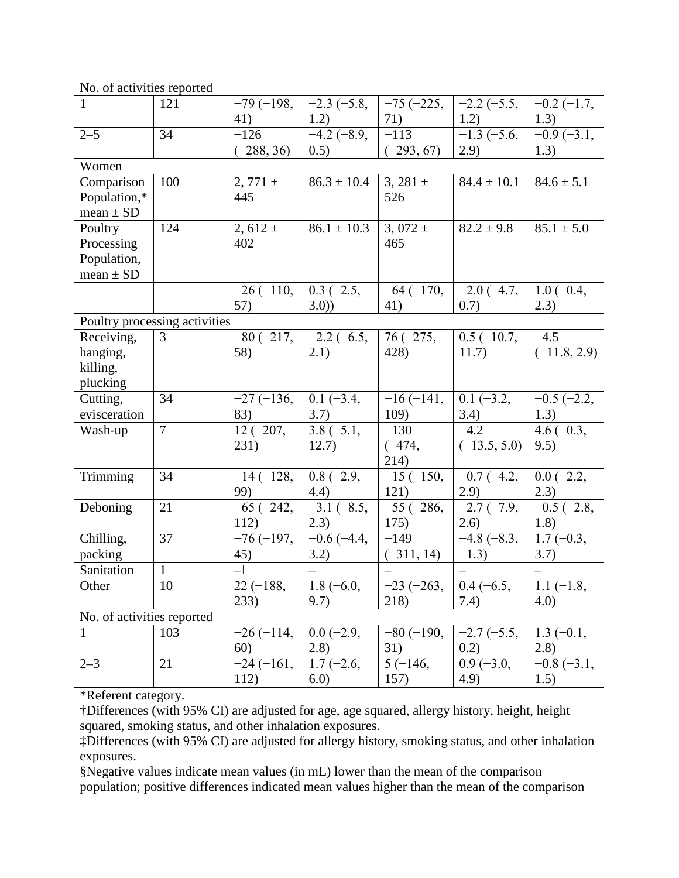|                            | No. of activities reported    |                       |                                          |              |                             |                          |  |
|----------------------------|-------------------------------|-----------------------|------------------------------------------|--------------|-----------------------------|--------------------------|--|
| $\mathbf{1}$               | 121                           |                       | $-79(-198, -2.3(-5.8))$                  | $-75(-225,$  | $-2.2$ (-5.5,   -0.2 (-1.7, |                          |  |
|                            |                               | 41)                   |                                          | $71)$ __     |                             | 1.3)                     |  |
| $2 - 5$                    | 34                            | $-126$                | $\frac{1.2}{-4.2}$ $\left(-8.9, \right)$ | $-113$       | $\frac{1.2}{-1.3}$ (-5.6,   | $-0.9(-3.1,$             |  |
|                            |                               | $(-288, 36)$          | (0.5)                                    | $(-293, 67)$ | (2.9)                       | 1.3)                     |  |
| Women                      |                               |                       |                                          |              |                             |                          |  |
| Comparison                 | 100                           | $\sqrt{2}$ , 771 ±    | $86.3 \pm 10.4$                          | $3,281 \pm$  | $84.4 \pm 10.1$             | $84.6 \pm 5.1$           |  |
| Population,*               |                               | 445                   |                                          | 526          |                             |                          |  |
| $mean \pm SD$              |                               |                       |                                          |              |                             |                          |  |
| Poultry                    | 124                           | 2, $612 \pm$          | $86.1 \pm 10.3$                          | $3,072 \pm$  | $\sqrt{82.2} \pm 9.8$       | $85.1 \pm 5.0$           |  |
| Processing                 |                               | 402                   |                                          | 465          |                             |                          |  |
| Population,                |                               |                       |                                          |              |                             |                          |  |
| $mean \pm SD$              |                               |                       |                                          |              |                             |                          |  |
|                            |                               | $-26(-110, 0.3(-2.5,$ |                                          | $-64 (-170,$ | $-2.0(-4.7,$                | $1.0(-0.4,$              |  |
|                            |                               | 57)                   | (3.0)                                    | 41)          | 0.7)                        | 2.3)                     |  |
|                            | Poultry processing activities |                       |                                          |              |                             |                          |  |
| Receiving,                 | 3                             |                       | $-80$ (-217,   -2.2 (-6.5,               | $76(-275,$   | $0.5(-10.7,$                | $-4.5$                   |  |
| hanging,                   |                               | 58)                   | 2.1)                                     | 428)         | 11.7)                       | $(-11.8, 2.9)$           |  |
| killing,                   |                               |                       |                                          |              |                             |                          |  |
| plucking                   |                               |                       |                                          |              |                             |                          |  |
| Cutting,                   | 34                            | $-27(-136,$           | $0.1 (-3.4,$                             | $-16(-141,$  | $0.1 (-3.2,$                | $-0.5$ ( $-2.2$ )        |  |
| evisceration               |                               | 83)                   | 3.7)                                     | 109)         | $\frac{3.4}{-4.2}$          | 1.3)                     |  |
| Wash-up                    | $\tau$                        | $12(-207,$            | $3.8(-5.1,$                              | $-130$       |                             | $4.6(-0.3,$              |  |
|                            |                               | 231)                  | 12.7)                                    | $(-474,$     | $(-13.5, 5.0)$              | 9.5)                     |  |
|                            |                               |                       |                                          | 214)         |                             |                          |  |
| Trimming                   | 34                            | $-14(-128,$           | $0.8(-2.9,$                              | $-15(-150,$  | $\overline{-0.7}$ (-4.2,    | $0.0(-2.2,$              |  |
|                            |                               | 99)                   | (4.4)                                    | 121)         | 2.9)                        | (2.3)                    |  |
| Deboning                   | 21                            |                       | $-65 (-242, -3.1 (-8.5,$                 | $-55 (-286,$ | $-2.7(-7.9,$                | $-0.5(-2.8,$             |  |
|                            |                               | 112)                  | 2.3)                                     | 175)         | 2.6)                        | 1.8)                     |  |
| Chilling,                  | 37                            |                       | $-76(-197, -0.6(-4.4,$                   | $-149$       | $-4.8(-8.3,$                | $1.7(-0.3,$              |  |
| packing                    |                               | 45)                   | 3.2)                                     | $(-311, 14)$ | $-1.3)$                     | 3.7)                     |  |
| Sanitation                 | $\mathbf{1}$                  | $\overline{-1}$       | $\overline{\phantom{0}}$                 |              | $\overline{\phantom{a}}$    | $\overline{\phantom{m}}$ |  |
| Other                      | 10                            | $22(-188,$            | $1.8(-6.0,$                              | $-23(-263,$  | $0.4(-6.5,$                 | $1.1(-1.8,$              |  |
|                            |                               | 233)                  | 9.7)                                     | 218)         | 7.4)                        | 4.0)                     |  |
| No. of activities reported |                               |                       |                                          |              |                             |                          |  |
| 1                          | 103                           | $-26(-114,$           | $0.0$ (-2.9,                             | $-80 (-190,$ | $-2.7(-5.5,$                | $1.3(-0.1,$              |  |
|                            |                               | 60)                   | (2.8)                                    | 31)          | 0.2)                        | (2.8)                    |  |
| $2 - 3$                    | 21                            | $-24(-161,$           | $1.7(-2.6,$                              | $5(-146,$    | $0.9(-3.0,$                 | $-0.8(-3.1,$             |  |
|                            |                               | 112)                  | 6.0)                                     | 157)         | 4.9)                        | 1.5)                     |  |

\*Referent category.

†Differences (with 95% CI) are adjusted for age, age squared, allergy history, height, height squared, smoking status, and other inhalation exposures.

‡Differences (with 95% CI) are adjusted for allergy history, smoking status, and other inhalation exposures.

§Negative values indicate mean values (in mL) lower than the mean of the comparison population; positive differences indicated mean values higher than the mean of the comparison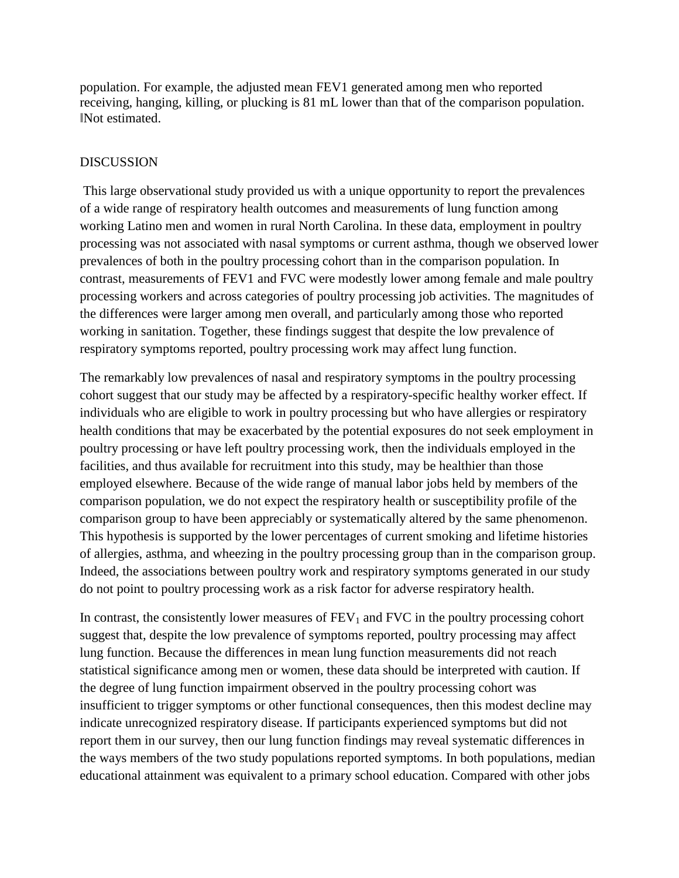population. For example, the adjusted mean FEV1 generated among men who reported receiving, hanging, killing, or plucking is 81 mL lower than that of the comparison population. ‖Not estimated.

#### **DISCUSSION**

This large observational study provided us with a unique opportunity to report the prevalences of a wide range of respiratory health outcomes and measurements of lung function among working Latino men and women in rural North Carolina. In these data, employment in poultry processing was not associated with nasal symptoms or current asthma, though we observed lower prevalences of both in the poultry processing cohort than in the comparison population. In contrast, measurements of FEV1 and FVC were modestly lower among female and male poultry processing workers and across categories of poultry processing job activities. The magnitudes of the differences were larger among men overall, and particularly among those who reported working in sanitation. Together, these findings suggest that despite the low prevalence of respiratory symptoms reported, poultry processing work may affect lung function.

The remarkably low prevalences of nasal and respiratory symptoms in the poultry processing cohort suggest that our study may be affected by a respiratory-specific healthy worker effect. If individuals who are eligible to work in poultry processing but who have allergies or respiratory health conditions that may be exacerbated by the potential exposures do not seek employment in poultry processing or have left poultry processing work, then the individuals employed in the facilities, and thus available for recruitment into this study, may be healthier than those employed elsewhere. Because of the wide range of manual labor jobs held by members of the comparison population, we do not expect the respiratory health or susceptibility profile of the comparison group to have been appreciably or systematically altered by the same phenomenon. This hypothesis is supported by the lower percentages of current smoking and lifetime histories of allergies, asthma, and wheezing in the poultry processing group than in the comparison group. Indeed, the associations between poultry work and respiratory symptoms generated in our study do not point to poultry processing work as a risk factor for adverse respiratory health.

In contrast, the consistently lower measures of  $FEV<sub>1</sub>$  and  $FVC$  in the poultry processing cohort suggest that, despite the low prevalence of symptoms reported, poultry processing may affect lung function. Because the differences in mean lung function measurements did not reach statistical significance among men or women, these data should be interpreted with caution. If the degree of lung function impairment observed in the poultry processing cohort was insufficient to trigger symptoms or other functional consequences, then this modest decline may indicate unrecognized respiratory disease. If participants experienced symptoms but did not report them in our survey, then our lung function findings may reveal systematic differences in the ways members of the two study populations reported symptoms. In both populations, median educational attainment was equivalent to a primary school education. Compared with other jobs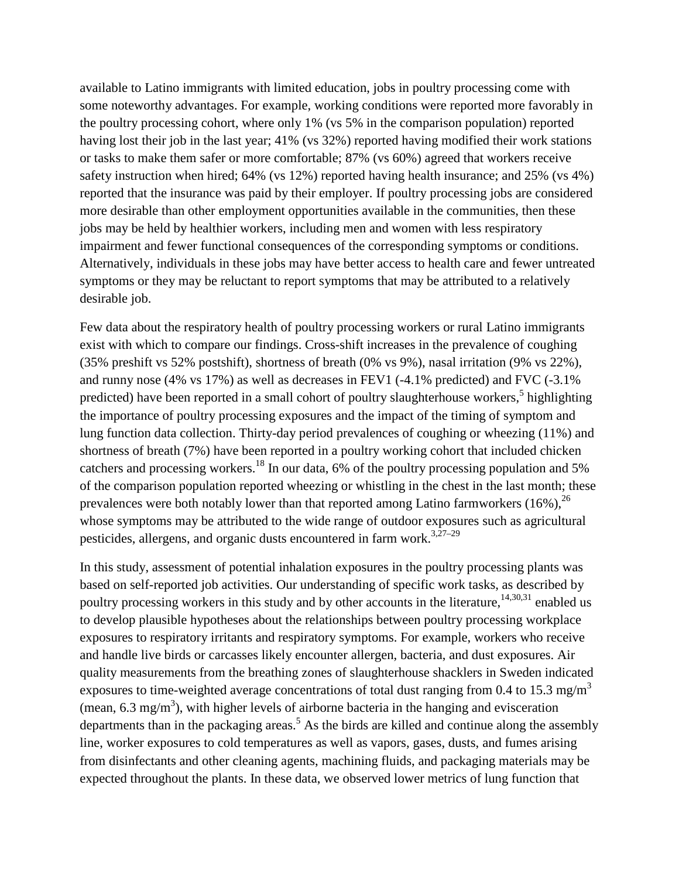available to Latino immigrants with limited education, jobs in poultry processing come with some noteworthy advantages. For example, working conditions were reported more favorably in the poultry processing cohort, where only 1% (vs 5% in the comparison population) reported having lost their job in the last year; 41% (vs 32%) reported having modified their work stations or tasks to make them safer or more comfortable; 87% (vs 60%) agreed that workers receive safety instruction when hired; 64% (vs 12%) reported having health insurance; and 25% (vs 4%) reported that the insurance was paid by their employer. If poultry processing jobs are considered more desirable than other employment opportunities available in the communities, then these jobs may be held by healthier workers, including men and women with less respiratory impairment and fewer functional consequences of the corresponding symptoms or conditions. Alternatively, individuals in these jobs may have better access to health care and fewer untreated symptoms or they may be reluctant to report symptoms that may be attributed to a relatively desirable job.

Few data about the respiratory health of poultry processing workers or rural Latino immigrants exist with which to compare our findings. Cross-shift increases in the prevalence of coughing (35% preshift vs 52% postshift), shortness of breath (0% vs 9%), nasal irritation (9% vs 22%), and runny nose (4% vs 17%) as well as decreases in FEV1 (-4.1% predicted) and FVC (-3.1% predicted) have been reported in a small cohort of poultry slaughterhouse workers,<sup>5</sup> highlighting the importance of poultry processing exposures and the impact of the timing of symptom and lung function data collection. Thirty-day period prevalences of coughing or wheezing (11%) and shortness of breath (7%) have been reported in a poultry working cohort that included chicken catchers and processing workers.<sup>18</sup> In our data, 6% of the poultry processing population and 5% of the comparison population reported wheezing or whistling in the chest in the last month; these prevalences were both notably lower than that reported among Latino farmworkers  $(16\%)$ ,  $^{26}$ whose symptoms may be attributed to the wide range of outdoor exposures such as agricultural pesticides, allergens, and organic dusts encountered in farm work.<sup>3,27-29</sup>

In this study, assessment of potential inhalation exposures in the poultry processing plants was based on self-reported job activities. Our understanding of specific work tasks, as described by poultry processing workers in this study and by other accounts in the literature,  $14,30,31$  enabled us to develop plausible hypotheses about the relationships between poultry processing workplace exposures to respiratory irritants and respiratory symptoms. For example, workers who receive and handle live birds or carcasses likely encounter allergen, bacteria, and dust exposures. Air quality measurements from the breathing zones of slaughterhouse shacklers in Sweden indicated exposures to time-weighted average concentrations of total dust ranging from 0.4 to 15.3 mg/m<sup>3</sup> (mean,  $6.3 \text{ mg/m}^3$ ), with higher levels of airborne bacteria in the hanging and evisceration departments than in the packaging areas.<sup>5</sup> As the birds are killed and continue along the assembly line, worker exposures to cold temperatures as well as vapors, gases, dusts, and fumes arising from disinfectants and other cleaning agents, machining fluids, and packaging materials may be expected throughout the plants. In these data, we observed lower metrics of lung function that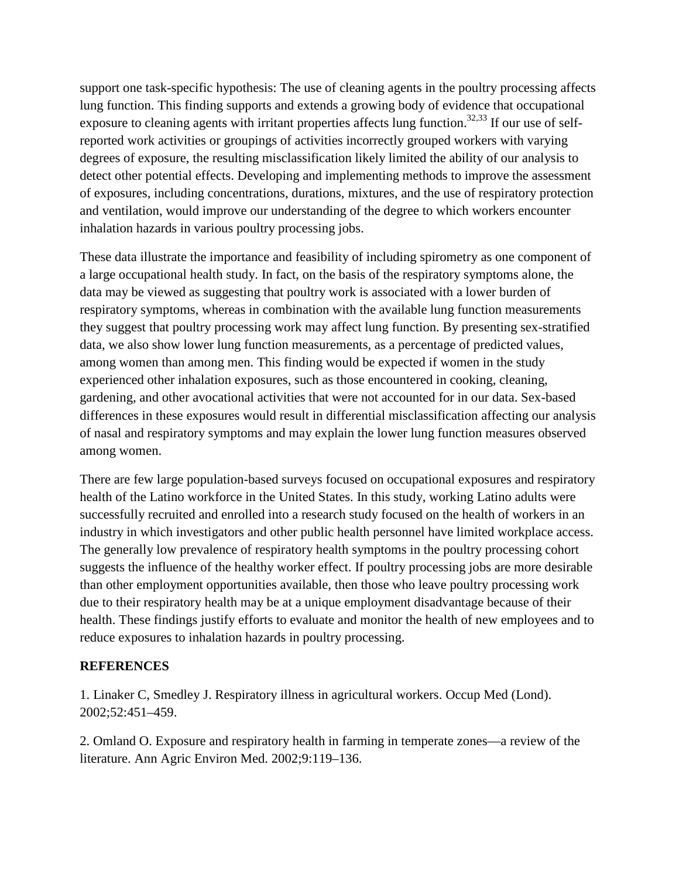support one task-specific hypothesis: The use of cleaning agents in the poultry processing affects lung function. This finding supports and extends a growing body of evidence that occupational exposure to cleaning agents with irritant properties affects lung function.<sup>32,33</sup> If our use of selfreported work activities or groupings of activities incorrectly grouped workers with varying degrees of exposure, the resulting misclassification likely limited the ability of our analysis to detect other potential effects. Developing and implementing methods to improve the assessment of exposures, including concentrations, durations, mixtures, and the use of respiratory protection and ventilation, would improve our understanding of the degree to which workers encounter inhalation hazards in various poultry processing jobs.

These data illustrate the importance and feasibility of including spirometry as one component of a large occupational health study. In fact, on the basis of the respiratory symptoms alone, the data may be viewed as suggesting that poultry work is associated with a lower burden of respiratory symptoms, whereas in combination with the available lung function measurements they suggest that poultry processing work may affect lung function. By presenting sex-stratified data, we also show lower lung function measurements, as a percentage of predicted values, among women than among men. This finding would be expected if women in the study experienced other inhalation exposures, such as those encountered in cooking, cleaning, gardening, and other avocational activities that were not accounted for in our data. Sex-based differences in these exposures would result in differential misclassification affecting our analysis of nasal and respiratory symptoms and may explain the lower lung function measures observed among women.

There are few large population-based surveys focused on occupational exposures and respiratory health of the Latino workforce in the United States. In this study, working Latino adults were successfully recruited and enrolled into a research study focused on the health of workers in an industry in which investigators and other public health personnel have limited workplace access. The generally low prevalence of respiratory health symptoms in the poultry processing cohort suggests the influence of the healthy worker effect. If poultry processing jobs are more desirable than other employment opportunities available, then those who leave poultry processing work due to their respiratory health may be at a unique employment disadvantage because of their health. These findings justify efforts to evaluate and monitor the health of new employees and to reduce exposures to inhalation hazards in poultry processing.

#### **REFERENCES**

1. Linaker C, Smedley J. Respiratory illness in agricultural workers. Occup Med (Lond). 2002;52:451–459.

2. Omland O. Exposure and respiratory health in farming in temperate zones—a review of the literature. Ann Agric Environ Med. 2002;9:119–136.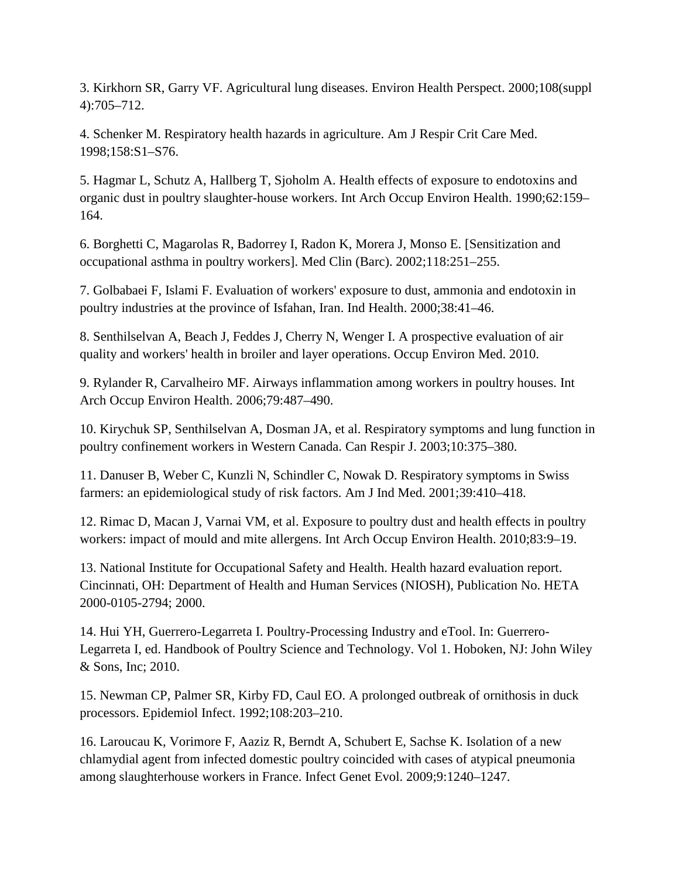3. Kirkhorn SR, Garry VF. Agricultural lung diseases. Environ Health Perspect. 2000;108(suppl 4):705–712.

4. Schenker M. Respiratory health hazards in agriculture. Am J Respir Crit Care Med. 1998;158:S1–S76.

5. Hagmar L, Schutz A, Hallberg T, Sjoholm A. Health effects of exposure to endotoxins and organic dust in poultry slaughter-house workers. Int Arch Occup Environ Health. 1990;62:159– 164.

6. Borghetti C, Magarolas R, Badorrey I, Radon K, Morera J, Monso E. [Sensitization and occupational asthma in poultry workers]. Med Clin (Barc). 2002;118:251–255.

7. Golbabaei F, Islami F. Evaluation of workers' exposure to dust, ammonia and endotoxin in poultry industries at the province of Isfahan, Iran. Ind Health. 2000;38:41–46.

8. Senthilselvan A, Beach J, Feddes J, Cherry N, Wenger I. A prospective evaluation of air quality and workers' health in broiler and layer operations. Occup Environ Med. 2010.

9. Rylander R, Carvalheiro MF. Airways inflammation among workers in poultry houses. Int Arch Occup Environ Health. 2006;79:487–490.

10. Kirychuk SP, Senthilselvan A, Dosman JA, et al. Respiratory symptoms and lung function in poultry confinement workers in Western Canada. Can Respir J. 2003;10:375–380.

11. Danuser B, Weber C, Kunzli N, Schindler C, Nowak D. Respiratory symptoms in Swiss farmers: an epidemiological study of risk factors. Am J Ind Med. 2001;39:410–418.

12. Rimac D, Macan J, Varnai VM, et al. Exposure to poultry dust and health effects in poultry workers: impact of mould and mite allergens. Int Arch Occup Environ Health. 2010;83:9–19.

13. National Institute for Occupational Safety and Health. Health hazard evaluation report. Cincinnati, OH: Department of Health and Human Services (NIOSH), Publication No. HETA 2000-0105-2794; 2000.

14. Hui YH, Guerrero-Legarreta I. Poultry-Processing Industry and eTool. In: Guerrero-Legarreta I, ed. Handbook of Poultry Science and Technology. Vol 1. Hoboken, NJ: John Wiley & Sons, Inc; 2010.

15. Newman CP, Palmer SR, Kirby FD, Caul EO. A prolonged outbreak of ornithosis in duck processors. Epidemiol Infect. 1992;108:203–210.

16. Laroucau K, Vorimore F, Aaziz R, Berndt A, Schubert E, Sachse K. Isolation of a new chlamydial agent from infected domestic poultry coincided with cases of atypical pneumonia among slaughterhouse workers in France. Infect Genet Evol. 2009;9:1240–1247.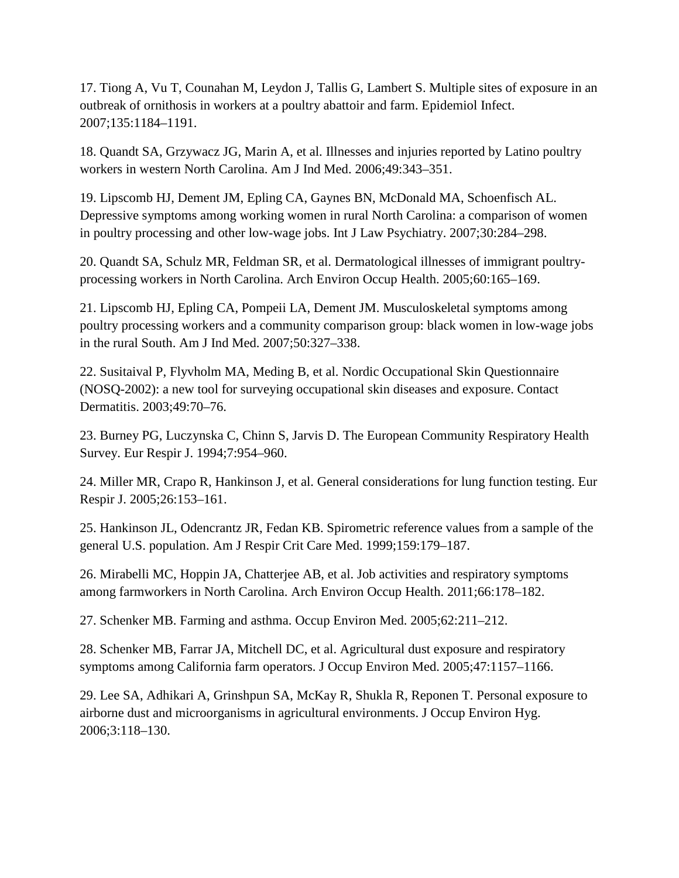17. Tiong A, Vu T, Counahan M, Leydon J, Tallis G, Lambert S. Multiple sites of exposure in an outbreak of ornithosis in workers at a poultry abattoir and farm. Epidemiol Infect. 2007;135:1184–1191.

18. Quandt SA, Grzywacz JG, Marin A, et al. Illnesses and injuries reported by Latino poultry workers in western North Carolina. Am J Ind Med. 2006;49:343–351.

19. Lipscomb HJ, Dement JM, Epling CA, Gaynes BN, McDonald MA, Schoenfisch AL. Depressive symptoms among working women in rural North Carolina: a comparison of women in poultry processing and other low-wage jobs. Int J Law Psychiatry. 2007;30:284–298.

20. Quandt SA, Schulz MR, Feldman SR, et al. Dermatological illnesses of immigrant poultryprocessing workers in North Carolina. Arch Environ Occup Health. 2005;60:165–169.

21. Lipscomb HJ, Epling CA, Pompeii LA, Dement JM. Musculoskeletal symptoms among poultry processing workers and a community comparison group: black women in low-wage jobs in the rural South. Am J Ind Med. 2007;50:327–338.

22. Susitaival P, Flyvholm MA, Meding B, et al. Nordic Occupational Skin Questionnaire (NOSQ-2002): a new tool for surveying occupational skin diseases and exposure. Contact Dermatitis. 2003;49:70–76.

23. Burney PG, Luczynska C, Chinn S, Jarvis D. The European Community Respiratory Health Survey. Eur Respir J. 1994;7:954–960.

24. Miller MR, Crapo R, Hankinson J, et al. General considerations for lung function testing. Eur Respir J. 2005;26:153–161.

25. Hankinson JL, Odencrantz JR, Fedan KB. Spirometric reference values from a sample of the general U.S. population. Am J Respir Crit Care Med. 1999;159:179–187.

26. Mirabelli MC, Hoppin JA, Chatterjee AB, et al. Job activities and respiratory symptoms among farmworkers in North Carolina. Arch Environ Occup Health. 2011;66:178–182.

27. Schenker MB. Farming and asthma. Occup Environ Med. 2005;62:211–212.

28. Schenker MB, Farrar JA, Mitchell DC, et al. Agricultural dust exposure and respiratory symptoms among California farm operators. J Occup Environ Med. 2005;47:1157–1166.

29. Lee SA, Adhikari A, Grinshpun SA, McKay R, Shukla R, Reponen T. Personal exposure to airborne dust and microorganisms in agricultural environments. J Occup Environ Hyg. 2006;3:118–130.